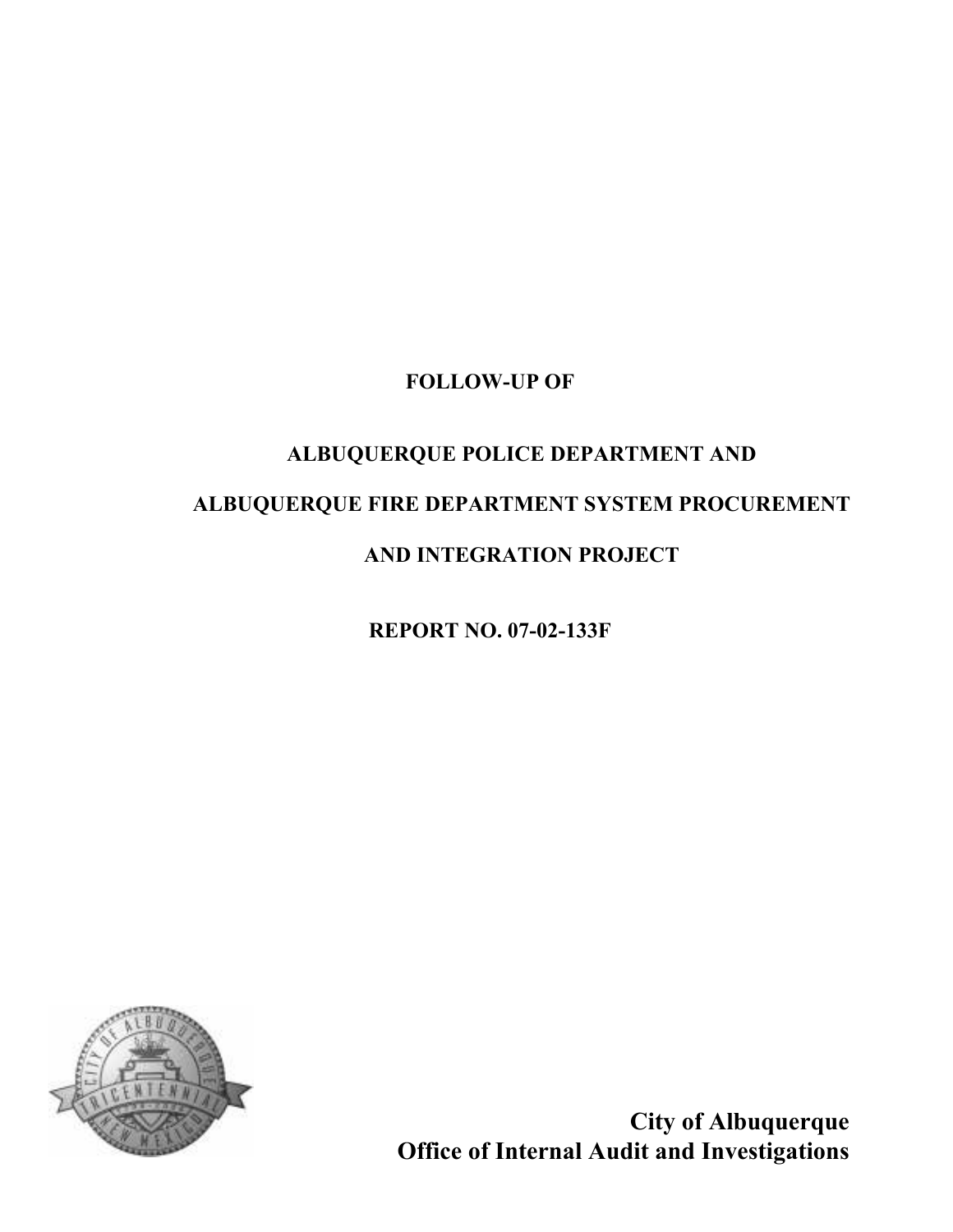### FOLLOW-UP OF

# ALBUQUERQUE POLICE DEPARTMENT AND ALBUQUERQUE FIRE DEPARTMENT SYSTEM PROCUREMENT

## AND INTEGRATION PROJECT

REPORT NO. 07-02-133F



City of Albuquerque Office of Internal Audit and Investigations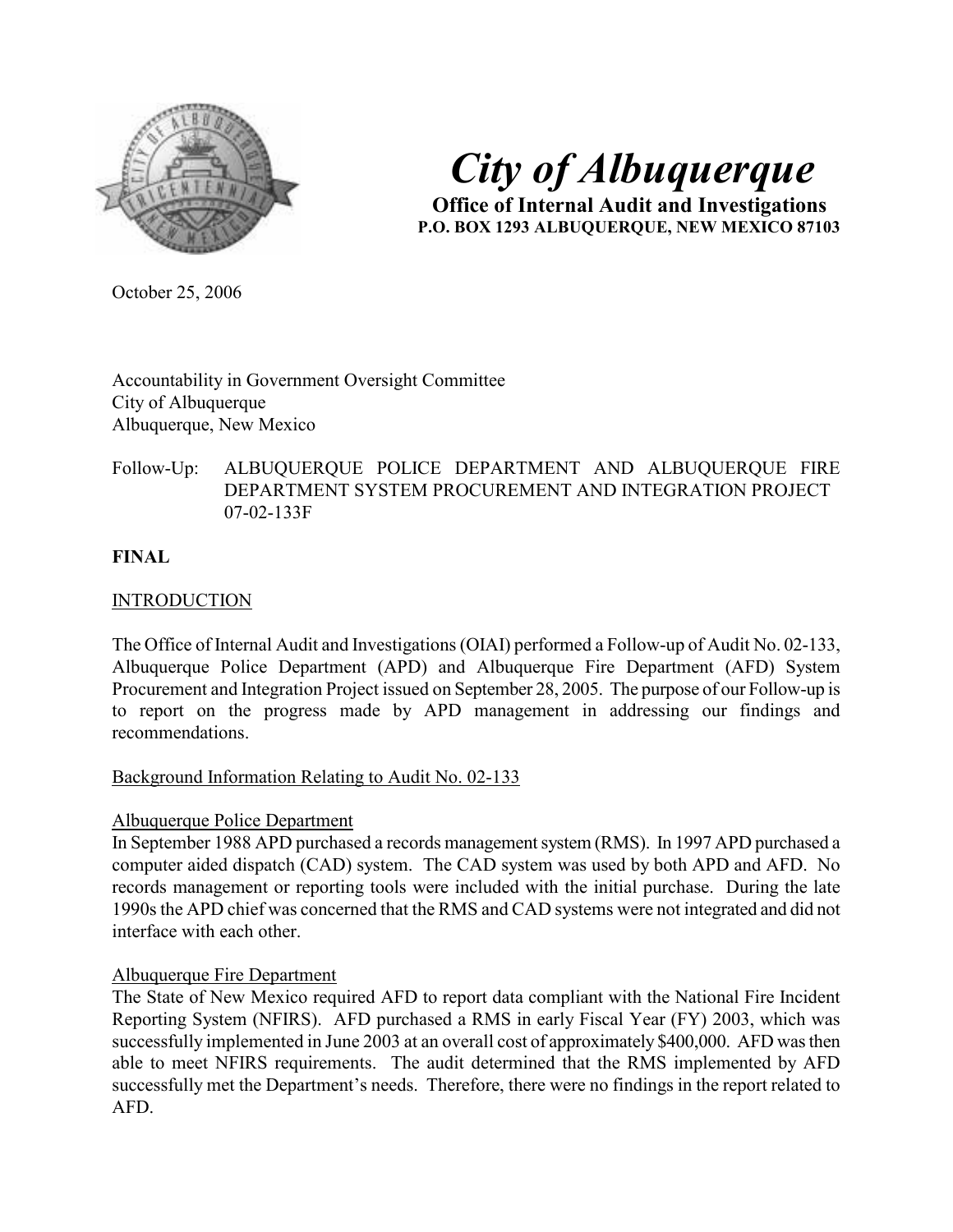

# City of Albuquerque

 Office of Internal Audit and Investigations P.O. BOX 1293 ALBUQUERQUE, NEW MEXICO 87103

October 25, 2006

Accountability in Government Oversight Committee City of Albuquerque Albuquerque, New Mexico

#### Follow-Up: ALBUQUERQUE POLICE DEPARTMENT AND ALBUQUERQUE FIRE DEPARTMENT SYSTEM PROCUREMENT AND INTEGRATION PROJECT 07-02-133F

#### FINAL

#### **INTRODUCTION**

The Office of Internal Audit and Investigations (OIAI) performed a Follow-up of Audit No. 02-133, Albuquerque Police Department (APD) and Albuquerque Fire Department (AFD) System Procurement and Integration Project issued on September 28, 2005. The purpose of our Follow-up is to report on the progress made by APD management in addressing our findings and recommendations.

#### Background Information Relating to Audit No. 02-133

#### Albuquerque Police Department

In September 1988 APD purchased a records management system (RMS). In 1997 APD purchased a computer aided dispatch (CAD) system. The CAD system was used by both APD and AFD. No records management or reporting tools were included with the initial purchase. During the late 1990s the APD chief was concerned that the RMS and CAD systems were not integrated and did not interface with each other.

#### Albuquerque Fire Department

The State of New Mexico required AFD to report data compliant with the National Fire Incident Reporting System (NFIRS). AFD purchased a RMS in early Fiscal Year (FY) 2003, which was successfully implemented in June 2003 at an overall cost of approximately \$400,000. AFD was then able to meet NFIRS requirements. The audit determined that the RMS implemented by AFD successfully met the Department's needs. Therefore, there were no findings in the report related to AFD.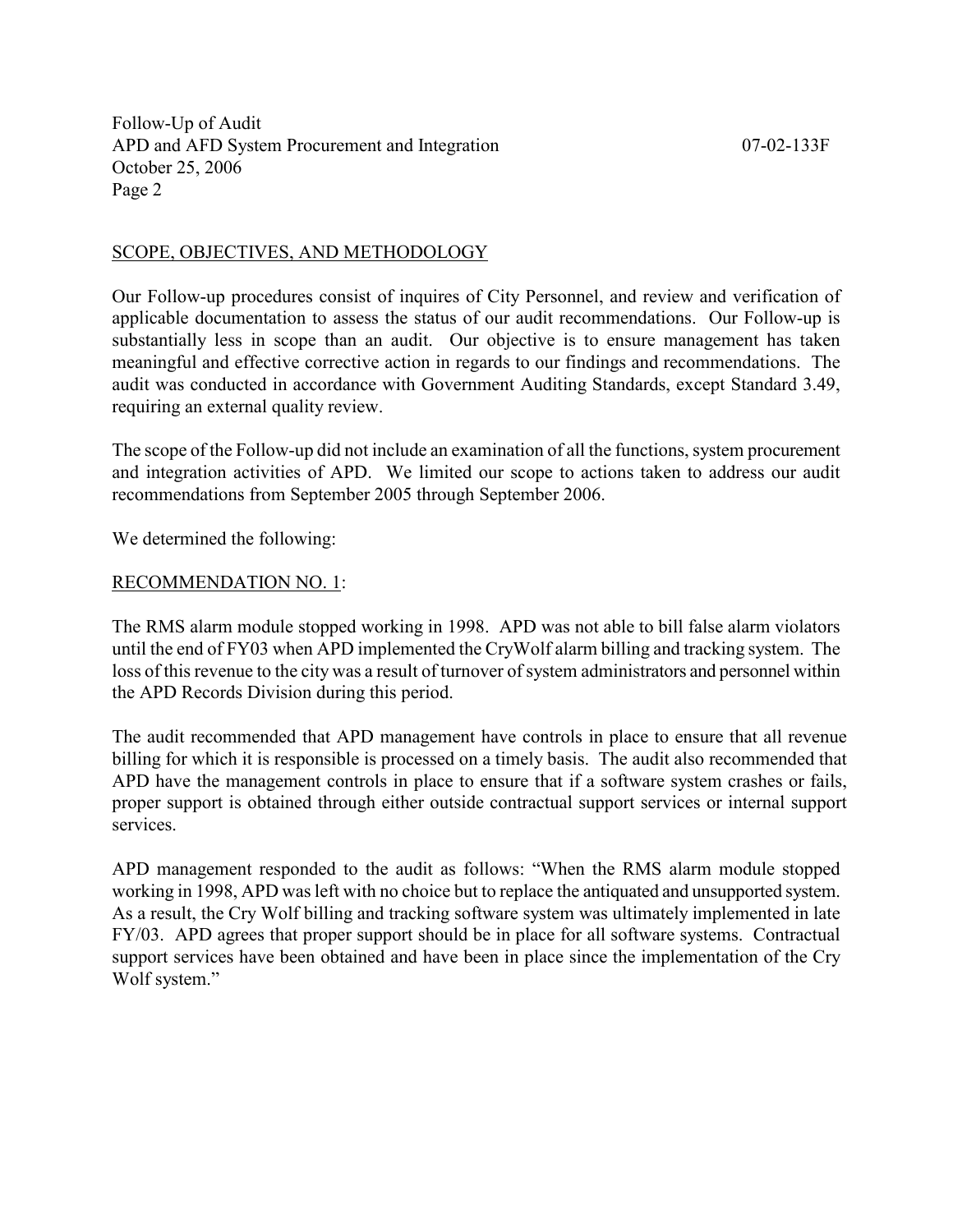#### SCOPE, OBJECTIVES, AND METHODOLOGY

Our Follow-up procedures consist of inquires of City Personnel, and review and verification of applicable documentation to assess the status of our audit recommendations. Our Follow-up is substantially less in scope than an audit. Our objective is to ensure management has taken meaningful and effective corrective action in regards to our findings and recommendations. The audit was conducted in accordance with Government Auditing Standards, except Standard 3.49, requiring an external quality review.

The scope of the Follow-up did not include an examination of all the functions, system procurement and integration activities of APD. We limited our scope to actions taken to address our audit recommendations from September 2005 through September 2006.

We determined the following:

#### RECOMMENDATION NO. 1:

The RMS alarm module stopped working in 1998. APD was not able to bill false alarm violators until the end of FY03 when APD implemented the CryWolf alarm billing and tracking system. The loss of this revenue to the city was a result of turnover of system administrators and personnel within the APD Records Division during this period.

The audit recommended that APD management have controls in place to ensure that all revenue billing for which it is responsible is processed on a timely basis. The audit also recommended that APD have the management controls in place to ensure that if a software system crashes or fails, proper support is obtained through either outside contractual support services or internal support services.

APD management responded to the audit as follows: "When the RMS alarm module stopped working in 1998, APD was left with no choice but to replace the antiquated and unsupported system. As a result, the Cry Wolf billing and tracking software system was ultimately implemented in late FY/03. APD agrees that proper support should be in place for all software systems. Contractual support services have been obtained and have been in place since the implementation of the Cry Wolf system."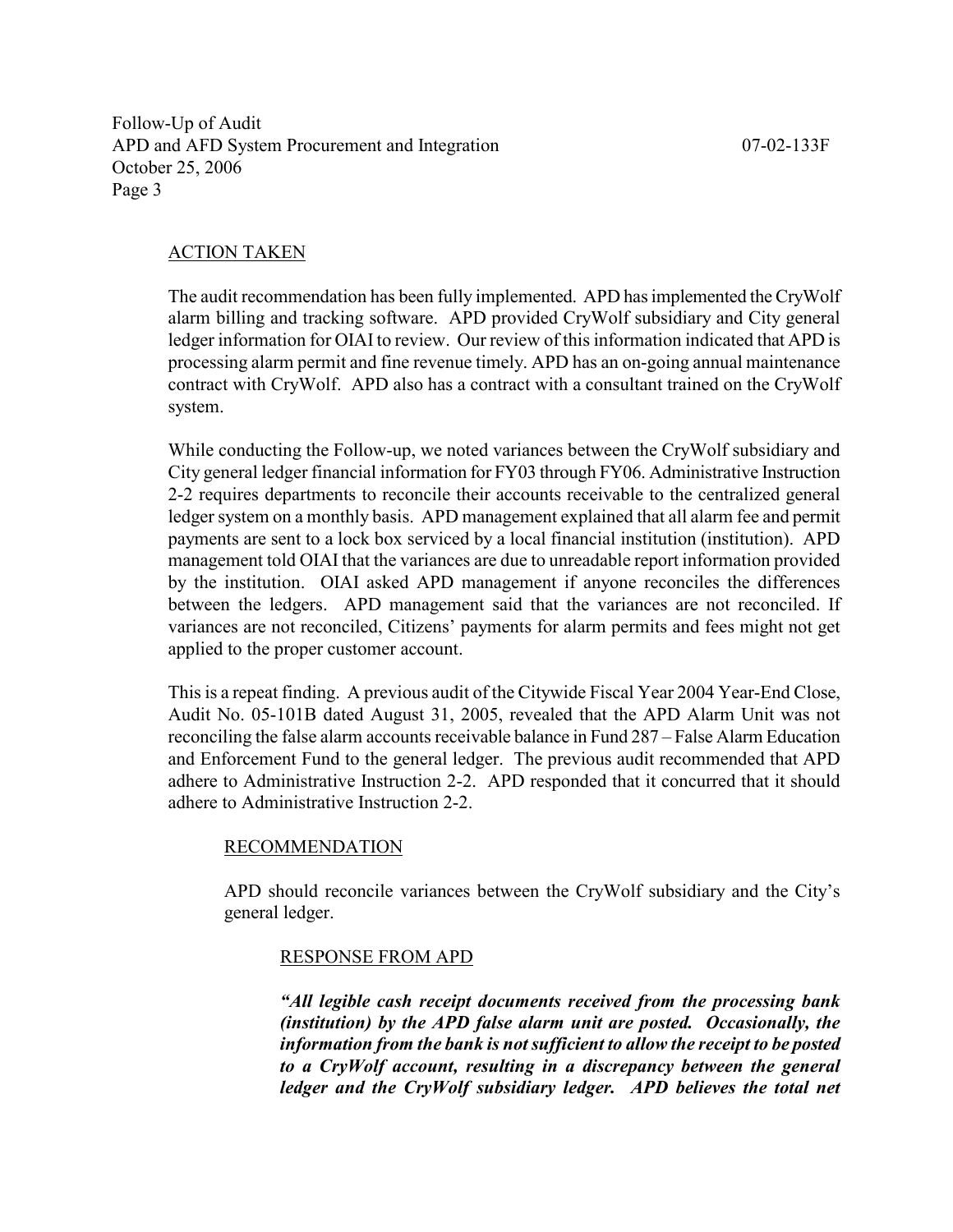#### ACTION TAKEN

The audit recommendation has been fully implemented. APD has implemented the CryWolf alarm billing and tracking software. APD provided CryWolf subsidiary and City general ledger information for OIAI to review. Our review of this information indicated that APD is processing alarm permit and fine revenue timely. APD has an on-going annual maintenance contract with CryWolf. APD also has a contract with a consultant trained on the CryWolf system.

While conducting the Follow-up, we noted variances between the CryWolf subsidiary and City general ledger financial information for FY03 through FY06. Administrative Instruction 2-2 requires departments to reconcile their accounts receivable to the centralized general ledger system on a monthly basis. APD management explained that all alarm fee and permit payments are sent to a lock box serviced by a local financial institution (institution). APD management told OIAI that the variances are due to unreadable report information provided by the institution. OIAI asked APD management if anyone reconciles the differences between the ledgers. APD management said that the variances are not reconciled. If variances are not reconciled, Citizens' payments for alarm permits and fees might not get applied to the proper customer account.

This is a repeat finding. A previous audit of the Citywide Fiscal Year 2004 Year-End Close, Audit No. 05-101B dated August 31, 2005, revealed that the APD Alarm Unit was not reconciling the false alarm accounts receivable balance in Fund 287 – False Alarm Education and Enforcement Fund to the general ledger. The previous audit recommended that APD adhere to Administrative Instruction 2-2. APD responded that it concurred that it should adhere to Administrative Instruction 2-2.

#### RECOMMENDATION

APD should reconcile variances between the CryWolf subsidiary and the City's general ledger.

#### RESPONSE FROM APD

"All legible cash receipt documents received from the processing bank (institution) by the APD false alarm unit are posted. Occasionally, the information from the bank is not sufficient to allow the receipt to be posted to a CryWolf account, resulting in a discrepancy between the general ledger and the CryWolf subsidiary ledger. APD believes the total net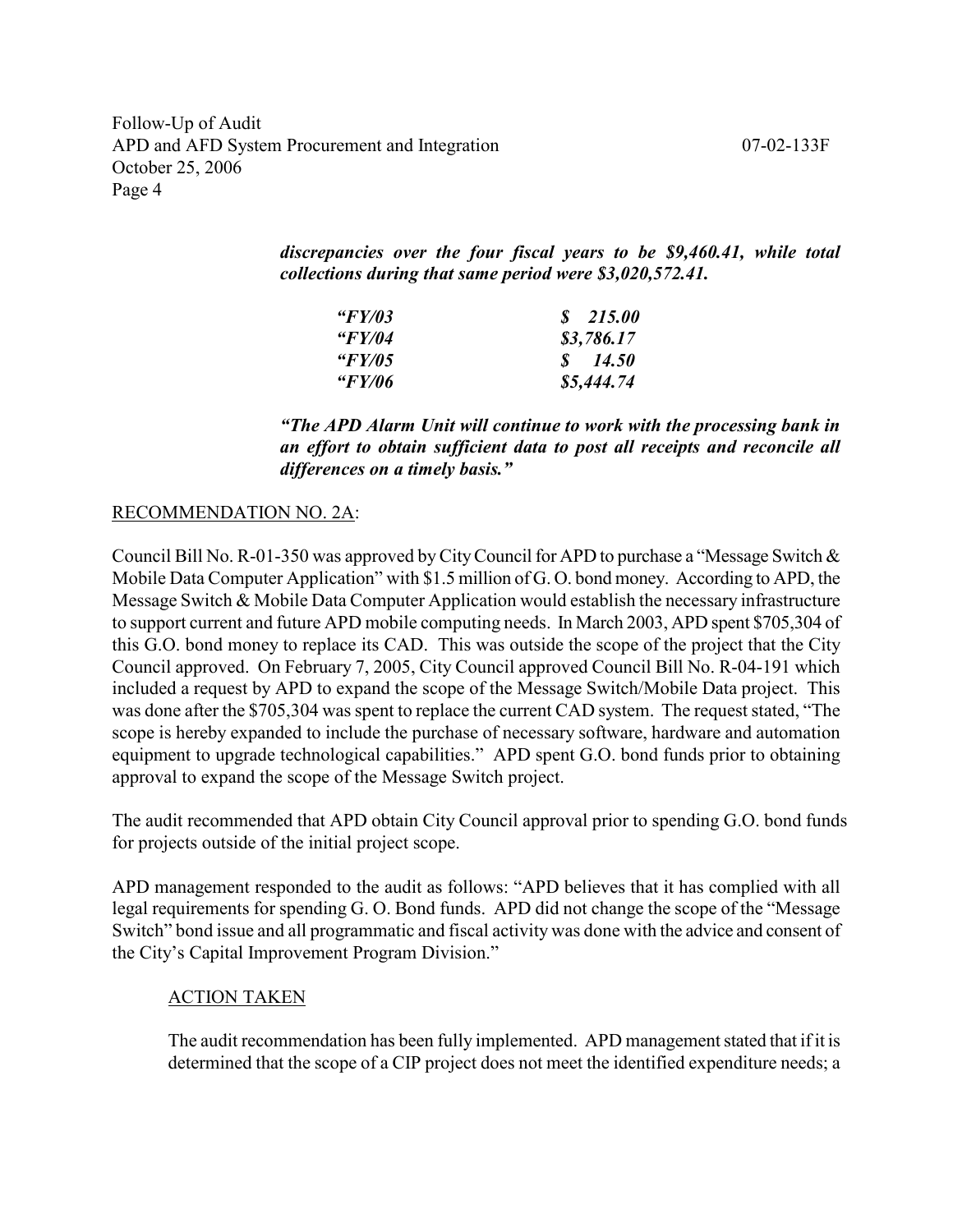discrepancies over the four fiscal years to be \$9,460.41, while total collections during that same period were \$3,020,572.41.

| " $FY/03$            | \$215.00          |
|----------------------|-------------------|
| " $FY/04$            | \$3,786.17        |
| "FY/05               | $\frac{14.50}{ }$ |
| <i><b>"FY/06</b></i> | \$5,444.74        |

"The APD Alarm Unit will continue to work with the processing bank in an effort to obtain sufficient data to post all receipts and reconcile all differences on a timely basis."

#### RECOMMENDATION NO. 2A:

Council Bill No. R-01-350 was approved by City Council for APD to purchase a "Message Switch & Mobile Data Computer Application" with \$1.5 million of G. O. bond money. According to APD, the Message Switch & Mobile Data Computer Application would establish the necessary infrastructure to support current and future APD mobile computing needs. In March 2003, APD spent \$705,304 of this G.O. bond money to replace its CAD. This was outside the scope of the project that the City Council approved. On February 7, 2005, City Council approved Council Bill No. R-04-191 which included a request by APD to expand the scope of the Message Switch/Mobile Data project. This was done after the \$705,304 was spent to replace the current CAD system. The request stated, "The scope is hereby expanded to include the purchase of necessary software, hardware and automation equipment to upgrade technological capabilities." APD spent G.O. bond funds prior to obtaining approval to expand the scope of the Message Switch project.

The audit recommended that APD obtain City Council approval prior to spending G.O. bond funds for projects outside of the initial project scope.

APD management responded to the audit as follows: "APD believes that it has complied with all legal requirements for spending G. O. Bond funds. APD did not change the scope of the "Message Switch" bond issue and all programmatic and fiscal activity was done with the advice and consent of the City's Capital Improvement Program Division."

#### ACTION TAKEN

The audit recommendation has been fully implemented. APD management stated that if it is determined that the scope of a CIP project does not meet the identified expenditure needs; a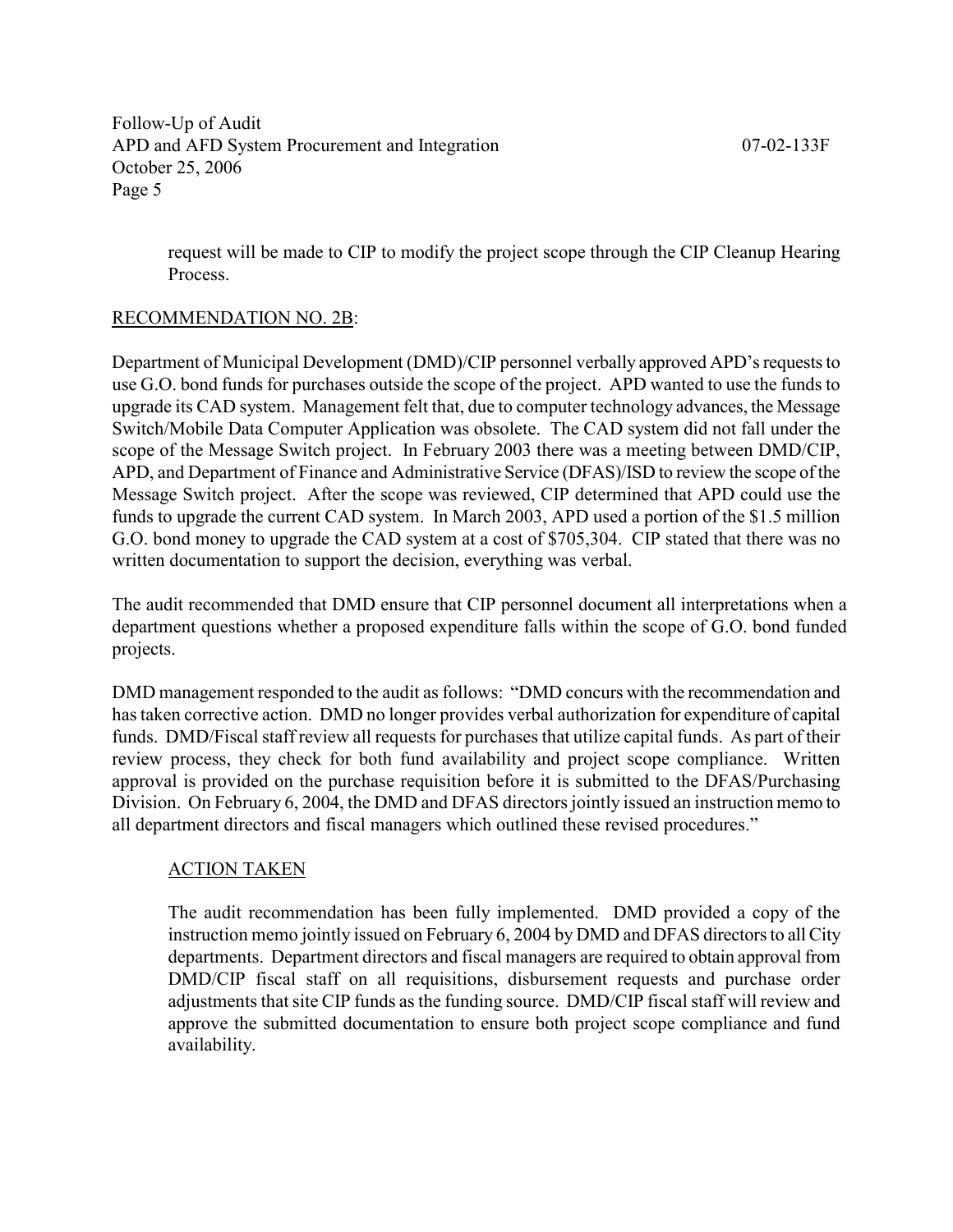request will be made to CIP to modify the project scope through the CIP Cleanup Hearing Process.

#### RECOMMENDATION NO. 2B:

Department of Municipal Development (DMD)/CIP personnel verbally approved APD's requests to use G.O. bond funds for purchases outside the scope of the project. APD wanted to use the funds to upgrade its CAD system. Management felt that, due to computer technology advances, the Message Switch/Mobile Data Computer Application was obsolete. The CAD system did not fall under the scope of the Message Switch project. In February 2003 there was a meeting between DMD/CIP, APD, and Department of Finance and Administrative Service (DFAS)/ISD to review the scope of the Message Switch project. After the scope was reviewed, CIP determined that APD could use the funds to upgrade the current CAD system. In March 2003, APD used a portion of the \$1.5 million G.O. bond money to upgrade the CAD system at a cost of \$705,304. CIP stated that there was no written documentation to support the decision, everything was verbal.

The audit recommended that DMD ensure that CIP personnel document all interpretations when a department questions whether a proposed expenditure falls within the scope of G.O. bond funded projects.

DMD management responded to the audit as follows: "DMD concurs with the recommendation and has taken corrective action. DMD no longer provides verbal authorization for expenditure of capital funds. DMD/Fiscal staff review all requests for purchases that utilize capital funds. As part of their review process, they check for both fund availability and project scope compliance. Written approval is provided on the purchase requisition before it is submitted to the DFAS/Purchasing Division. On February 6, 2004, the DMD and DFAS directors jointly issued an instruction memo to all department directors and fiscal managers which outlined these revised procedures."

#### ACTION TAKEN

The audit recommendation has been fully implemented. DMD provided a copy of the instruction memo jointly issued on February 6, 2004 by DMD and DFAS directors to all City departments. Department directors and fiscal managers are required to obtain approval from DMD/CIP fiscal staff on all requisitions, disbursement requests and purchase order adjustments that site CIP funds as the funding source. DMD/CIP fiscal staff will review and approve the submitted documentation to ensure both project scope compliance and fund availability.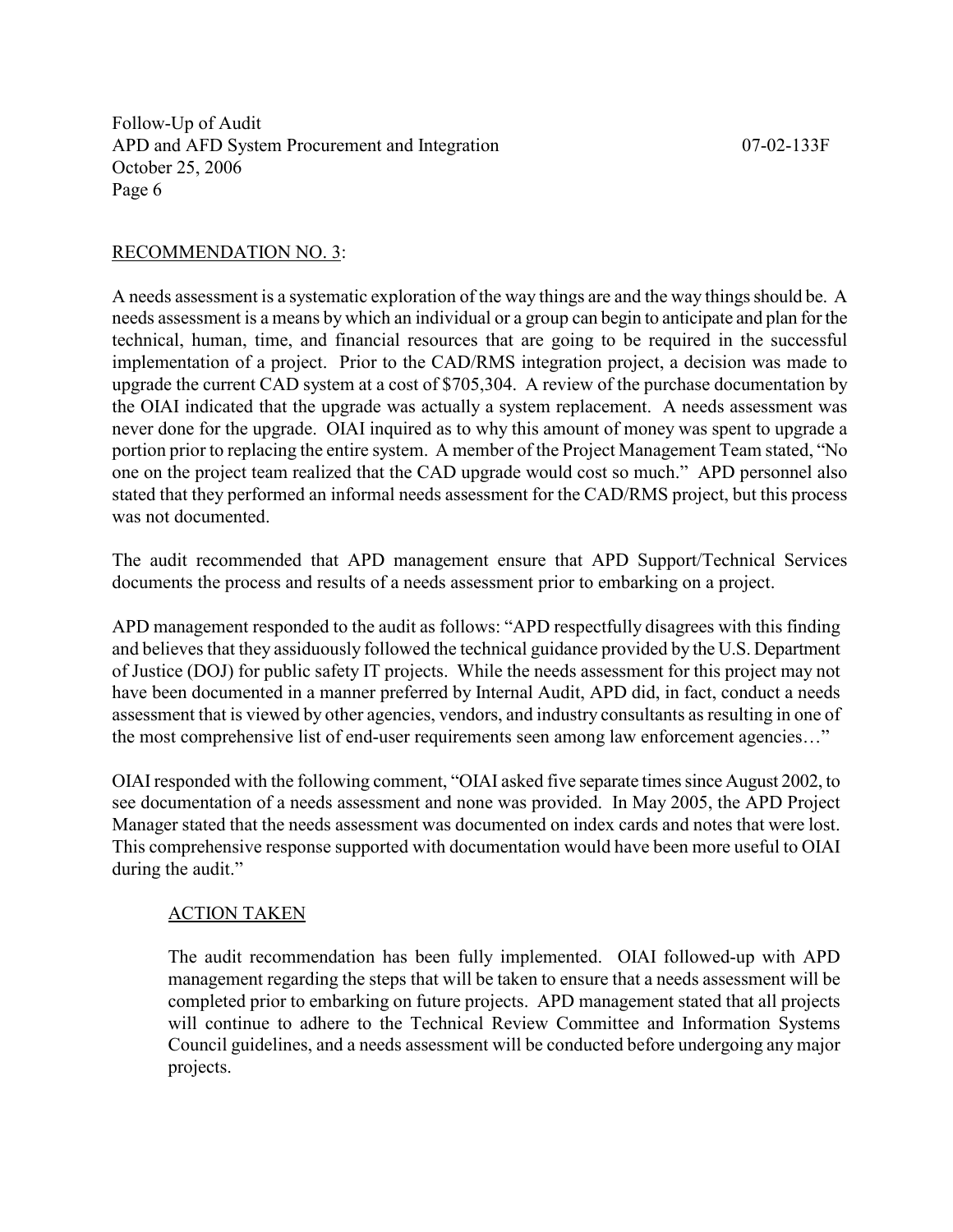#### RECOMMENDATION NO. 3:

A needs assessment is a systematic exploration of the way things are and the way things should be. A needs assessment is a means by which an individual or a group can begin to anticipate and plan for the technical, human, time, and financial resources that are going to be required in the successful implementation of a project. Prior to the CAD/RMS integration project, a decision was made to upgrade the current CAD system at a cost of \$705,304. A review of the purchase documentation by the OIAI indicated that the upgrade was actually a system replacement. A needs assessment was never done for the upgrade. OIAI inquired as to why this amount of money was spent to upgrade a portion prior to replacing the entire system. A member of the Project Management Team stated, "No one on the project team realized that the CAD upgrade would cost so much." APD personnel also stated that they performed an informal needs assessment for the CAD/RMS project, but this process was not documented.

The audit recommended that APD management ensure that APD Support/Technical Services documents the process and results of a needs assessment prior to embarking on a project.

APD management responded to the audit as follows: "APD respectfully disagrees with this finding and believes that they assiduously followed the technical guidance provided by the U.S. Department of Justice (DOJ) for public safety IT projects. While the needs assessment for this project may not have been documented in a manner preferred by Internal Audit, APD did, in fact, conduct a needs assessment that is viewed by other agencies, vendors, and industry consultants as resulting in one of the most comprehensive list of end-user requirements seen among law enforcement agencies…"

OIAI responded with the following comment, "OIAI asked five separate times since August 2002, to see documentation of a needs assessment and none was provided. In May 2005, the APD Project Manager stated that the needs assessment was documented on index cards and notes that were lost. This comprehensive response supported with documentation would have been more useful to OIAI during the audit."

#### ACTION TAKEN

The audit recommendation has been fully implemented. OIAI followed-up with APD management regarding the steps that will be taken to ensure that a needs assessment will be completed prior to embarking on future projects. APD management stated that all projects will continue to adhere to the Technical Review Committee and Information Systems Council guidelines, and a needs assessment will be conducted before undergoing any major projects.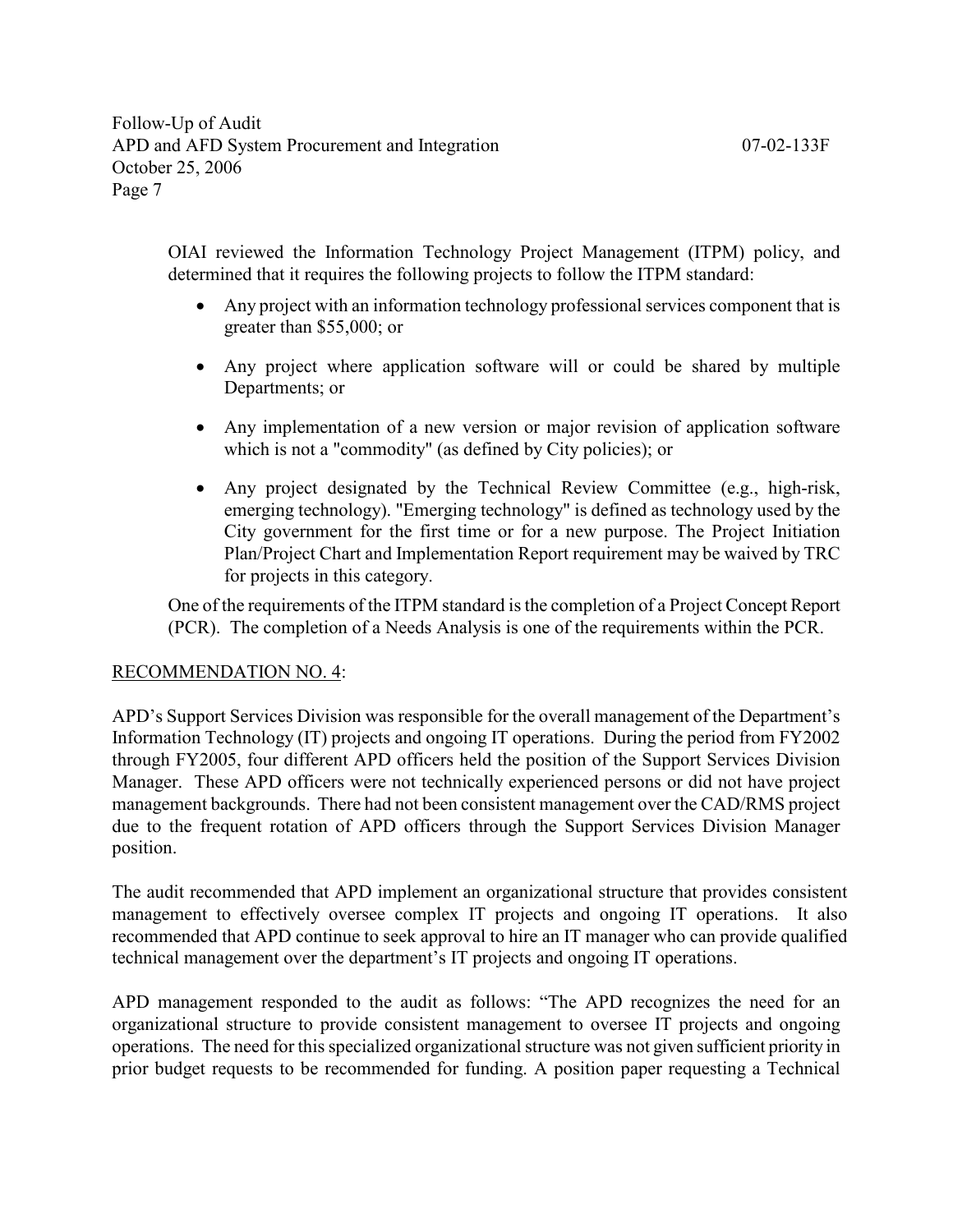OIAI reviewed the Information Technology Project Management (ITPM) policy, and determined that it requires the following projects to follow the ITPM standard:

- Any project with an information technology professional services component that is greater than \$55,000; or
- Any project where application software will or could be shared by multiple Departments; or
- Any implementation of a new version or major revision of application software which is not a "commodity" (as defined by City policies); or
- Any project designated by the Technical Review Committee (e.g., high-risk, emerging technology). "Emerging technology" is defined as technology used by the City government for the first time or for a new purpose. The Project Initiation Plan/Project Chart and Implementation Report requirement may be waived by TRC for projects in this category.

One of the requirements of the ITPM standard is the completion of a Project Concept Report (PCR). The completion of a Needs Analysis is one of the requirements within the PCR.

#### RECOMMENDATION NO. 4:

APD's Support Services Division was responsible for the overall management of the Department's Information Technology (IT) projects and ongoing IT operations. During the period from FY2002 through FY2005, four different APD officers held the position of the Support Services Division Manager. These APD officers were not technically experienced persons or did not have project management backgrounds. There had not been consistent management over the CAD/RMS project due to the frequent rotation of APD officers through the Support Services Division Manager position.

The audit recommended that APD implement an organizational structure that provides consistent management to effectively oversee complex IT projects and ongoing IT operations. It also recommended that APD continue to seek approval to hire an IT manager who can provide qualified technical management over the department's IT projects and ongoing IT operations.

APD management responded to the audit as follows: "The APD recognizes the need for an organizational structure to provide consistent management to oversee IT projects and ongoing operations. The need for this specialized organizational structure was not given sufficient priority in prior budget requests to be recommended for funding. A position paper requesting a Technical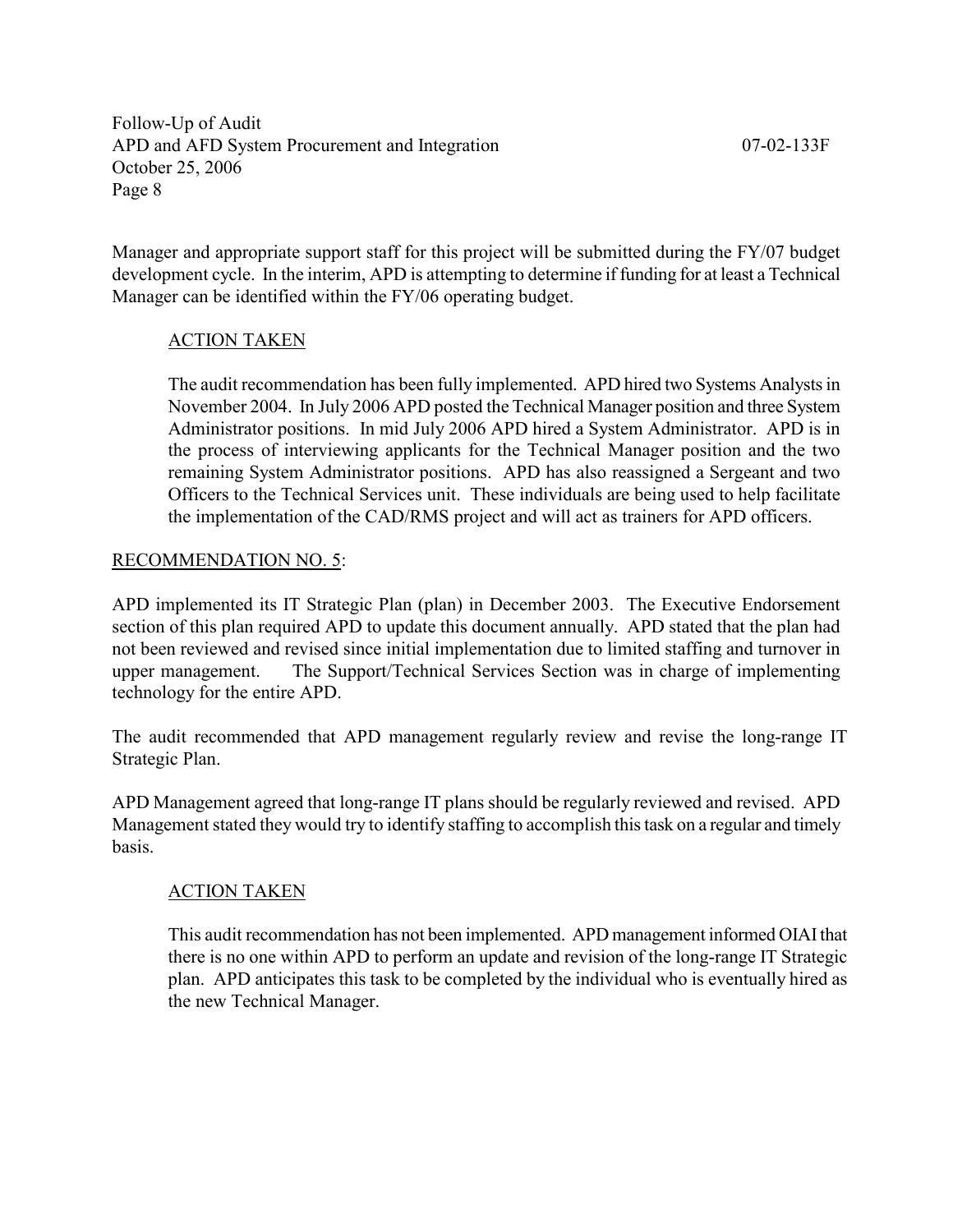Manager and appropriate support staff for this project will be submitted during the FY/07 budget development cycle. In the interim, APD is attempting to determine if funding for at least a Technical Manager can be identified within the FY/06 operating budget.

#### ACTION TAKEN

The audit recommendation has been fully implemented. APD hired two Systems Analysts in November 2004. In July 2006 APD posted the Technical Manager position and three System Administrator positions. In mid July 2006 APD hired a System Administrator. APD is in the process of interviewing applicants for the Technical Manager position and the two remaining System Administrator positions. APD has also reassigned a Sergeant and two Officers to the Technical Services unit. These individuals are being used to help facilitate the implementation of the CAD/RMS project and will act as trainers for APD officers.

#### RECOMMENDATION NO. 5:

APD implemented its IT Strategic Plan (plan) in December 2003. The Executive Endorsement section of this plan required APD to update this document annually. APD stated that the plan had not been reviewed and revised since initial implementation due to limited staffing and turnover in upper management. The Support/Technical Services Section was in charge of implementing technology for the entire APD.

The audit recommended that APD management regularly review and revise the long-range IT Strategic Plan.

APD Management agreed that long-range IT plans should be regularly reviewed and revised. APD Management stated they would try to identify staffing to accomplish this task on a regular and timely basis.

#### ACTION TAKEN

This audit recommendation has not been implemented. APD management informed OIAI that there is no one within APD to perform an update and revision of the long-range IT Strategic plan. APD anticipates this task to be completed by the individual who is eventually hired as the new Technical Manager.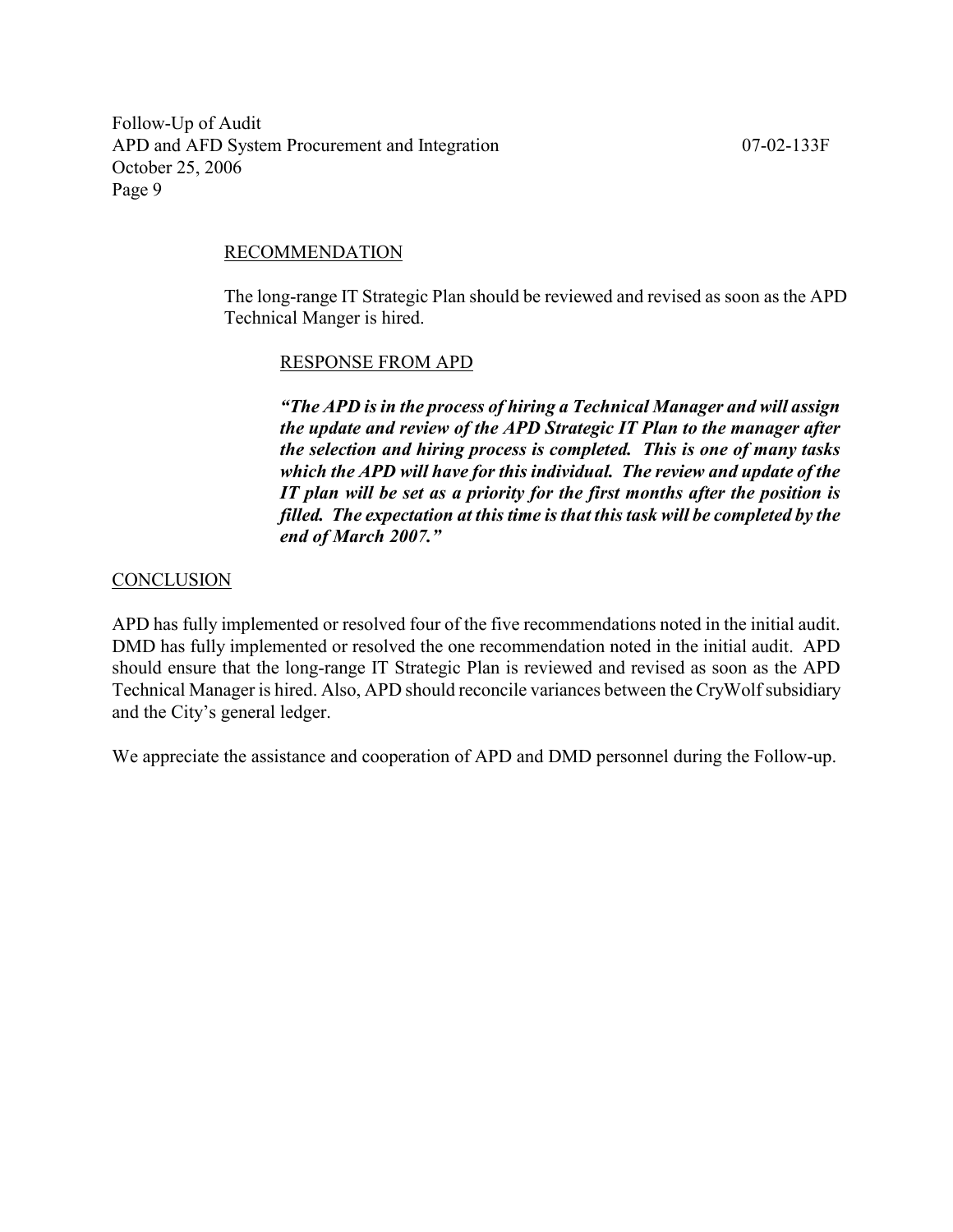#### RECOMMENDATION

The long-range IT Strategic Plan should be reviewed and revised as soon as the APD Technical Manger is hired.

#### RESPONSE FROM APD

"The APD is in the process of hiring a Technical Manager and will assign the update and review of the APD Strategic IT Plan to the manager after the selection and hiring process is completed. This is one of many tasks which the APD will have for this individual. The review and update of the IT plan will be set as a priority for the first months after the position is filled. The expectation at this time is that this task will be completed by the end of March 2007."

#### **CONCLUSION**

APD has fully implemented or resolved four of the five recommendations noted in the initial audit. DMD has fully implemented or resolved the one recommendation noted in the initial audit. APD should ensure that the long-range IT Strategic Plan is reviewed and revised as soon as the APD Technical Manager is hired. Also, APD should reconcile variances between the CryWolf subsidiary and the City's general ledger.

We appreciate the assistance and cooperation of APD and DMD personnel during the Follow-up.